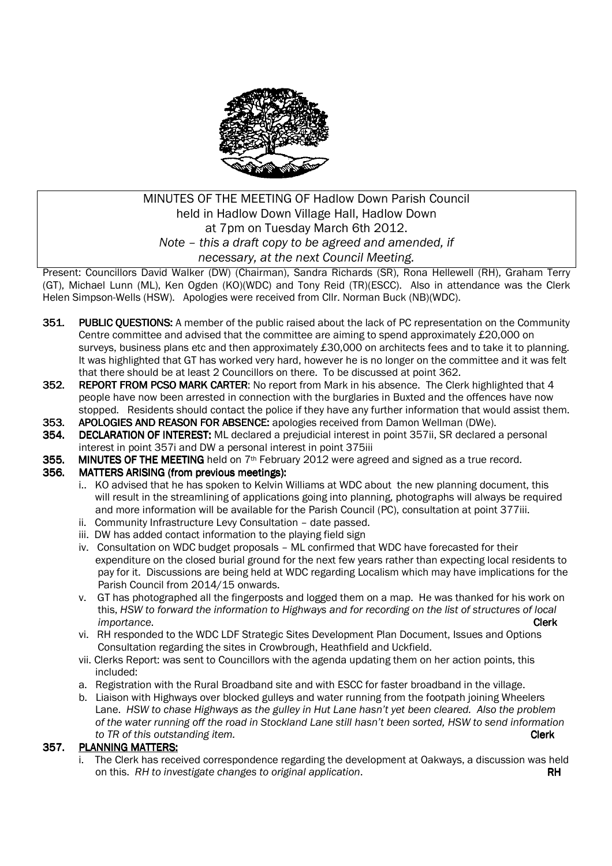

## MINUTES OF THE MEETING OF Hadlow Down Parish Council held in Hadlow Down Village Hall, Hadlow Down at 7pm on Tuesday March 6th 2012. *Note – this a draft copy to be agreed and amended, if necessary, at the next Council Meeting.*

Present: Councillors David Walker (DW) (Chairman), Sandra Richards (SR), Rona Hellewell (RH), Graham Terry (GT), Michael Lunn (ML), Ken Ogden (KO)(WDC) and Tony Reid (TR)(ESCC). Also in attendance was the Clerk Helen Simpson-Wells (HSW). Apologies were received from Cllr. Norman Buck (NB)(WDC).

- 351. PUBLIC OUESTIONS: A member of the public raised about the lack of PC representation on the Community Centre committee and advised that the committee are aiming to spend approximately £20,000 on surveys, business plans etc and then approximately £30,000 on architects fees and to take it to planning. It was highlighted that GT has worked very hard, however he is no longer on the committee and it was felt that there should be at least 2 Councillors on there. To be discussed at point 362.
- 352. REPORT FROM PCSO MARK CARTER: No report from Mark in his absence. The Clerk highlighted that 4 people have now been arrested in connection with the burglaries in Buxted and the offences have now stopped. Residents should contact the police if they have any further information that would assist them.
- 353. APOLOGIES AND REASON FOR ABSENCE: apologies received from Damon Wellman (DWe).
- 354. DECLARATION OF INTEREST: ML declared a prejudicial interest in point 357ii, SR declared a personal interest in point 357i and DW a personal interest in point 375iii
- 355. MINUTES OF THE MEETING held on 7<sup>th</sup> February 2012 were agreed and signed as a true record.<br>356. MATTERS ARISING (from previous meetings):

### MATTERS ARISING (from previous meetings):

- i.. KO advised that he has spoken to Kelvin Williams at WDC about the new planning document, this will result in the streamlining of applications going into planning, photographs will always be required and more information will be available for the Parish Council (PC), consultation at point 377iii.
- ii. Community Infrastructure Levy Consultation date passed.
- iii. DW has added contact information to the playing field sign
- iv. Consultation on WDC budget proposals ML confirmed that WDC have forecasted for their expenditure on the closed burial ground for the next few years rather than expecting local residents to pay for it. Discussions are being held at WDC regarding Localism which may have implications for the Parish Council from 2014/15 onwards.
- v. GT has photographed all the fingerposts and logged them on a map. He was thanked for his work on this, *HSW to forward the information to Highways and for recording on the list of structures of local importance*. Clerk Clerk Clerk Clerk Clerk Clerk Clerk Clerk Clerk Clerk
	- vi. RH responded to the WDC LDF Strategic Sites Development Plan Document, Issues and Options Consultation regarding the sites in Crowbrough, Heathfield and Uckfield.
	- vii. Clerks Report: was sent to Councillors with the agenda updating them on her action points, this included:
	- a. Registration with the Rural Broadband site and with ESCC for faster broadband in the village.
	- b. Liaison with Highways over blocked gulleys and water running from the footpath joining Wheelers Lane. *HSW to chase Highways as the gulley in Hut Lane hasn't yet been cleared. Also the problem of the water running off the road in Stockland Lane still hasn't been sorted, HSW to send information to TR of this outstanding item.* **Clerk Clerk Clerk Clerk Clerk**

#### 357. PLANNING MATTERS:

i. The Clerk has received correspondence regarding the development at Oakways, a discussion was held on this. *RH* to investigate changes to original application. The many control of the RH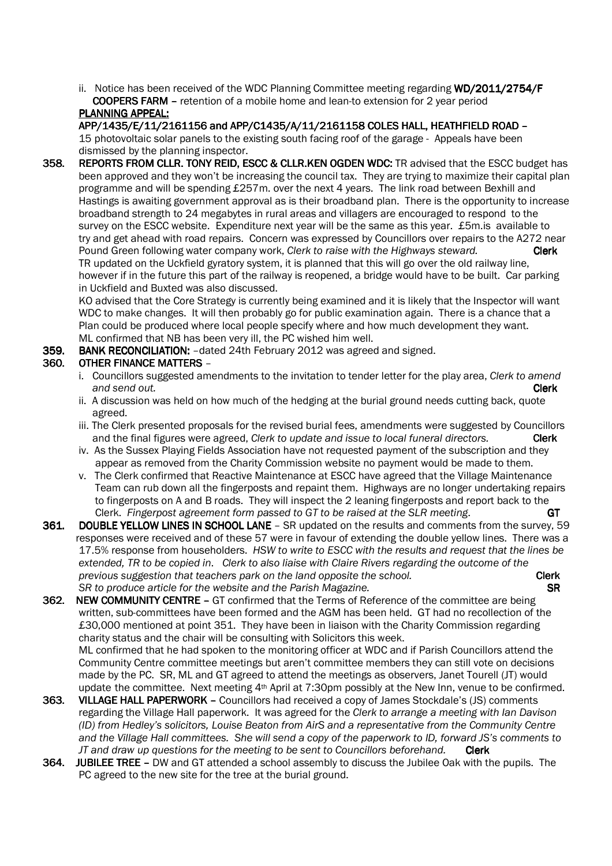ii. Notice has been received of the WDC Planning Committee meeting regarding WD/2011/2754/F **COOPERS FARM** – retention of a mobile home and lean-to extension for 2 year period PLANNING APPEAL:

APP/1435/E/11/2161156 and APP/C1435/A/11/2161158 COLES HALL, HEATHFIELD ROAD - 15 photovoltaic solar panels to the existing south facing roof of the garage - Appeals have been dismissed by the planning inspector.

358. REPORTS FROM CLLR. TONY REID, ESCC & CLLR.KEN OGDEN WDC: TR advised that the ESCC budget has been approved and they won't be increasing the council tax. They are trying to maximize their capital plan programme and will be spending £257m. over the next 4 years. The link road between Bexhill and Hastings is awaiting government approval as is their broadband plan. There is the opportunity to increase broadband strength to 24 megabytes in rural areas and villagers are encouraged to respond to the survey on the ESCC website. Expenditure next year will be the same as this year. £5m.is available to try and get ahead with road repairs. Concern was expressed by Councillors over repairs to the A272 near Pound Green following water company work, *Clerk to raise with the Highways steward.* **Clerk**  TR updated on the Uckfield gyratory system, it is planned that this will go over the old railway line, however if in the future this part of the railway is reopened, a bridge would have to be built. Car parking in Uckfield and Buxted was also discussed.

KO advised that the Core Strategy is currently being examined and it is likely that the Inspector will want WDC to make changes. It will then probably go for public examination again. There is a chance that a Plan could be produced where local people specify where and how much development they want. ML confirmed that NB has been very ill, the PC wished him well.

### 359. BANK RECONCILIATION: - dated 24th February 2012 was agreed and signed.

### 360. OTHER FINANCE MATTERS -

- i. Councillors suggested amendments to the invitation to tender letter for the play area, *Clerk to amend and send out.* Clerk
- ii. A discussion was held on how much of the hedging at the burial ground needs cutting back, quote agreed.
- iii. The Clerk presented proposals for the revised burial fees, amendments were suggested by Councillors and the final figures were agreed, *Clerk to update and issue to local funeral directors.* Clerk
- iv. As the Sussex Playing Fields Association have not requested payment of the subscription and they appear as removed from the Charity Commission website no payment would be made to them.
- v. The Clerk confirmed that Reactive Maintenance at ESCC have agreed that the Village Maintenance Team can rub down all the fingerposts and repaint them. Highways are no longer undertaking repairs to fingerposts on A and B roads. They will inspect the 2 leaning fingerposts and report back to the Clerk. *Fingerpost agreement form passed to GT to be raised at the SLR meeting*. GT
- 361. DOUBLE YELLOW LINES IN SCHOOL LANE SR updated on the results and comments from the survey, 59 responses were received and of these 57 were in favour of extending the double yellow lines. There was a 17.5% response from householders. *HSW to write to ESCC with the results and request that the lines be extended, TR to be copied in*. *Clerk to also liaise with Claire Rivers regarding the outcome of the previous suggestion that teachers park on the land opposite the school.* **Clerk** SR to produce article for the website and the Parish Magazine. **SR 1998 SR**
- 362. NEW COMMUNITY CENTRE GT confirmed that the Terms of Reference of the committee are being written, sub-committees have been formed and the AGM has been held. GT had no recollection of the £30,000 mentioned at point 351. They have been in liaison with the Charity Commission regarding charity status and the chair will be consulting with Solicitors this week. ML confirmed that he had spoken to the monitoring officer at WDC and if Parish Councillors attend the Community Centre committee meetings but aren't committee members they can still vote on decisions made by the PC. SR, ML and GT agreed to attend the meetings as observers, Janet Tourell (JT) would update the committee. Next meeting 4<sup>th</sup> April at 7:30pm possibly at the New Inn, venue to be confirmed.
- 363. VILLAGE HALL PAPERWORK Councillors had received a copy of James Stockdale's (JS) comments regarding the Village Hall paperwork. It was agreed for the *Clerk to arrange a meeting with Ian Davison (ID) from Hedley's solicitors, Louise Beaton from AirS and a representative from the Community Centre and the Village Hall committees. She will send a copy of the paperwork to ID, forward JS's comments to JT and draw up questions for the meeting to be sent to Councillors beforehand.* Clerk
- 364. JUBILEE TREE DW and GT attended a school assembly to discuss the Jubilee Oak with the pupils. The PC agreed to the new site for the tree at the burial ground.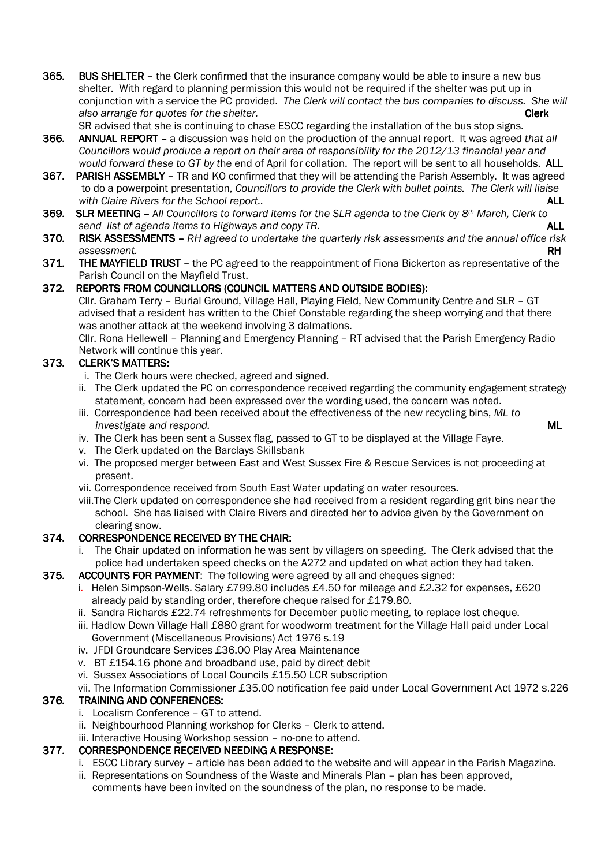- 365. BUS SHELTER the Clerk confirmed that the insurance company would be able to insure a new bus shelter. With regard to planning permission this would not be required if the shelter was put up in conjunction with a service the PC provided. *The Clerk will contact the bus companies to discuss. She will also arrange for quotes for the shelter.* Clerk
- SR advised that she is continuing to chase ESCC regarding the installation of the bus stop signs. 366. ANNUAL REPORT – a discussion was held on the production of the annual report. It was agreed *that all Councillors would produce a report on their area of responsibility for the 2012/13 financial year and would forward these to GT by t*he end of April for collation. The report will be sent to all households. ALL
- 367. PARISH ASSEMBLY TR and KO confirmed that they will be attending the Parish Assembly. It was agreed to do a powerpoint presentation, *Councillors to provide the Clerk with bullet points. The Clerk will liaise*  with Claire Rivers for the School report..
- 369. SLR MEETING All Councillors to forward items for the SLR agenda to the Clerk by 8<sup>th</sup> March, Clerk to *send list of agenda items to Highways and copy TR.* **ALL <b>ALL ALL ALL**
- 370. RISK ASSESSMENTS RH agreed to undertake the quarterly risk assessments and the annual office risk *assessment.* RH
- 371. THE MAYFIELD TRUST the PC agreed to the reappointment of Fiona Bickerton as representative of the Parish Council on the Mayfield Trust.

### 372. REPORTS FROM COUNCILLORS (COUNCIL MATTERS AND OUTSIDE BODIES):

 Cllr. Graham Terry – Burial Ground, Village Hall, Playing Field, New Community Centre and SLR – GT advised that a resident has written to the Chief Constable regarding the sheep worrying and that there was another attack at the weekend involving 3 dalmations.

Cllr. Rona Hellewell – Planning and Emergency Planning – RT advised that the Parish Emergency Radio Network will continue this year.

### 373. CLERK'S MATTERS:

- i. The Clerk hours were checked, agreed and signed.
- ii. The Clerk updated the PC on correspondence received regarding the community engagement strategy statement, concern had been expressed over the wording used, the concern was noted.
- iii. Correspondence had been received about the effectiveness of the new recycling bins, *ML to investigate and respond.* **ML**
- iv. The Clerk has been sent a Sussex flag, passed to GT to be displayed at the Village Fayre.
- v. The Clerk updated on the Barclays Skillsbank
- vi. The proposed merger between East and West Sussex Fire & Rescue Services is not proceeding at present.
- vii. Correspondence received from South East Water updating on water resources.
- viii.The Clerk updated on correspondence she had received from a resident regarding grit bins near the school. She has liaised with Claire Rivers and directed her to advice given by the Government on clearing snow.

### 374. CORRESPONDENCE RECEIVED BY THE CHAIR:

 i. The Chair updated on information he was sent by villagers on speeding. The Clerk advised that the police had undertaken speed checks on the A272 and updated on what action they had taken.

#### 375. ACCOUNTS FOR PAYMENT: The following were agreed by all and cheques signed:

- i. Helen Simpson-Wells. Salary £799.80 includes £4.50 for mileage and £2.32 for expenses, £620 already paid by standing order, therefore cheque raised for £179.80.
- ii. Sandra Richards £22.74 refreshments for December public meeting, to replace lost cheque.
- iii. Hadlow Down Village Hall £880 grant for woodworm treatment for the Village Hall paid under Local Government (Miscellaneous Provisions) Act 1976 s.19
- iv. JFDI Groundcare Services £36.00 Play Area Maintenance
- v. BT £154.16 phone and broadband use, paid by direct debit
- vi. Sussex Associations of Local Councils £15.50 LCR subscription

#### vii. The Information Commissioner £35.00 notification fee paid under Local Government Act 1972 s.226

### 376. TRAINING AND CONFERENCES:

- i. Localism Conference GT to attend.
- ii. Neighbourhood Planning workshop for Clerks Clerk to attend.
- iii. Interactive Housing Workshop session no-one to attend.

### 377. CORRESPONDENCE RECEIVED NEEDING A RESPONSE:

- i. ESCC Library survey article has been added to the website and will appear in the Parish Magazine.
- ii. Representations on Soundness of the Waste and Minerals Plan plan has been approved, comments have been invited on the soundness of the plan, no response to be made.